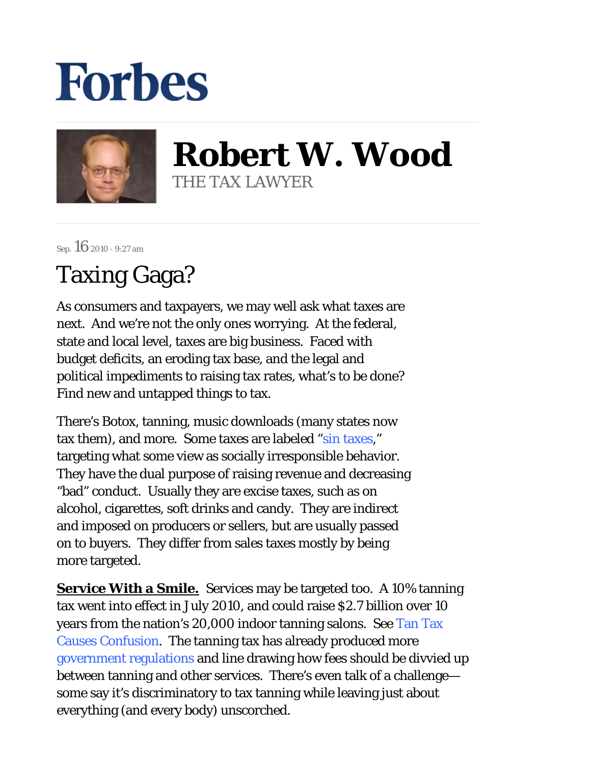## **Forbes**



**Robert W. Wood** THE TAX LAWYER

Sep. 16 2010 - 9:27 am

## Taxing Gaga?

As consumers and taxpayers, we may well ask what taxes are next. And we're not the only ones worrying. At the federal, state and local level, taxes are big business. Faced with budget deficits, an eroding tax base, and the legal and political impediments to raising tax rates, what's to be done? Find new and untapped things to tax.

There's Botox, tanning, music downloads (many states now tax them), and more. Some taxes are labeled "sin taxes," targeting what some view as socially irresponsible behavior. They have the dual purpose of raising revenue and decreasing "bad" conduct. Usually they are excise taxes, such as on alcohol, cigarettes, soft drinks and candy. They are indirect and imposed on producers or sellers, but are usually passed on to buyers. They differ from sales taxes mostly by being more targeted.

**<u>Service With a Smile.</u>** Services may be targeted too. A 10% tanning tax went into effect in July 2010, and could raise \$2.7 billion over 10 years from the nation's 20,000 indoor tanning salons. See Tan Tax Causes Confusion. The tanning tax has already produced more government regulations and line drawing how fees should be divvied up between tanning and other services. There's even talk of a challenge some say it's discriminatory to tax tanning while leaving just about everything (and every body) unscorched.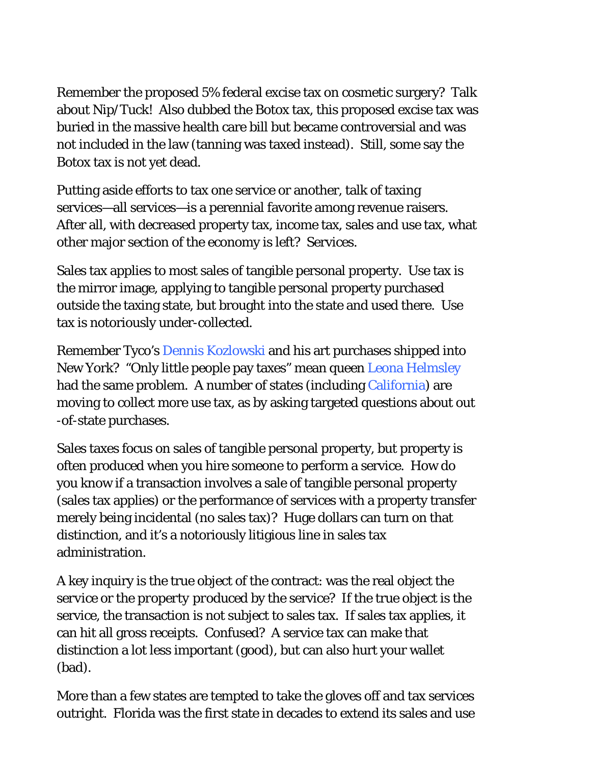Remember the proposed 5% federal excise tax on cosmetic surgery? Talk about Nip/Tuck! Also dubbed the Botox tax, this proposed excise tax was buried in the massive health care bill but became controversial and was not included in the law (tanning was taxed instead). Still, some say the Botox tax is not yet dead.

Putting aside efforts to tax one service or another, talk of taxing services—all services—is a perennial favorite among revenue raisers. After all, with decreased property tax, income tax, sales and use tax, what other major section of the economy is left? Services.

Sales tax applies to most sales of tangible personal property. Use tax is the mirror image, applying to tangible personal property purchased outside the taxing state, but brought into the state and used there. Use tax is notoriously under-collected.

Remember Tyco's Dennis Kozlowski and his art purchases shipped into New York? "Only little people pay taxes" mean queen Leona Helmsley had the same problem. A number of states (including California) are moving to collect more use tax, as by asking targeted questions about out -of-state purchases.

Sales taxes focus on sales of tangible personal property, but property is often produced when you hire someone to perform a service. How do you know if a transaction involves a sale of tangible personal property (sales tax applies) or the performance of services with a property transfer merely being incidental (no sales tax)? Huge dollars can turn on that distinction, and it's a notoriously litigious line in sales tax administration.

A key inquiry is the true object of the contract: was the real object the *service* or the *property produced* by the service? If the true object is the service, the transaction is not subject to sales tax. If sales tax applies, it can hit all gross receipts. Confused? A service tax can make that distinction a lot less important (good), but can also hurt your wallet (bad).

More than a few states are tempted to take the gloves off and tax services outright. Florida was the first state in decades to extend its sales and use